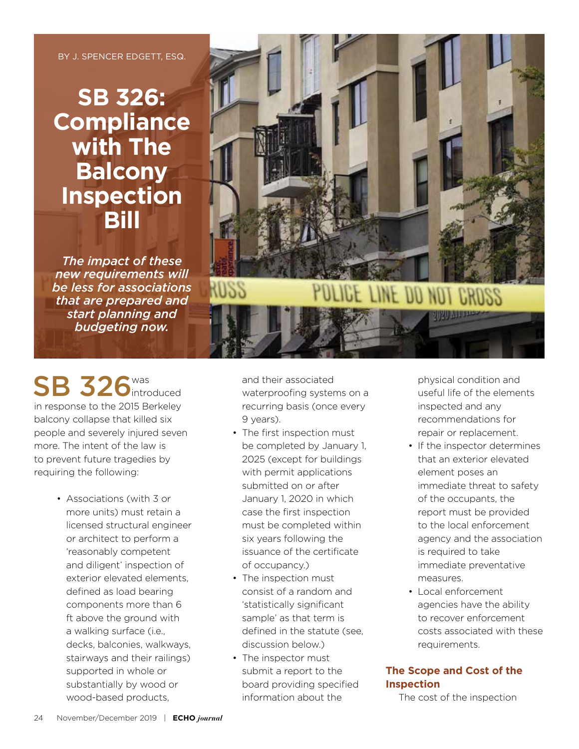BY J. SPENCER EDGETT, ESQ.

# **SB 326: Compliance with The Balcony Inspection Bill**

*The impact of these new requirements will be less for associations that are prepared and start planning and budgeting now.*

SB 326<sup>was</sup> ntroduced in response to the 2015 Berkeley balcony collapse that killed six people and severely injured seven more. The intent of the law is to prevent future tragedies by requiring the following:

> • Associations (with 3 or more units) must retain a licensed structural engineer or architect to perform a 'reasonably competent and diligent' inspection of exterior elevated elements, defined as load bearing components more than 6 ft above the ground with a walking surface (i.e., decks, balconies, walkways, stairways and their railings) supported in whole or substantially by wood or wood-based products,



and their associated waterproofing systems on a recurring basis (once every 9 years).

- The first inspection must be completed by January 1, 2025 (except for buildings with permit applications submitted on or after January 1, 2020 in which case the first inspection must be completed within six years following the issuance of the certificate of occupancy.)
- The inspection must consist of a random and 'statistically significant sample' as that term is defined in the statute (see, discussion below.)
- The inspector must submit a report to the board providing specified information about the

physical condition and useful life of the elements inspected and any recommendations for repair or replacement.

- If the inspector determines that an exterior elevated element poses an immediate threat to safety of the occupants, the report must be provided to the local enforcement agency and the association is required to take immediate preventative measures.
- Local enforcement agencies have the ability to recover enforcement costs associated with these requirements.

# **The Scope and Cost of the Inspection**

The cost of the inspection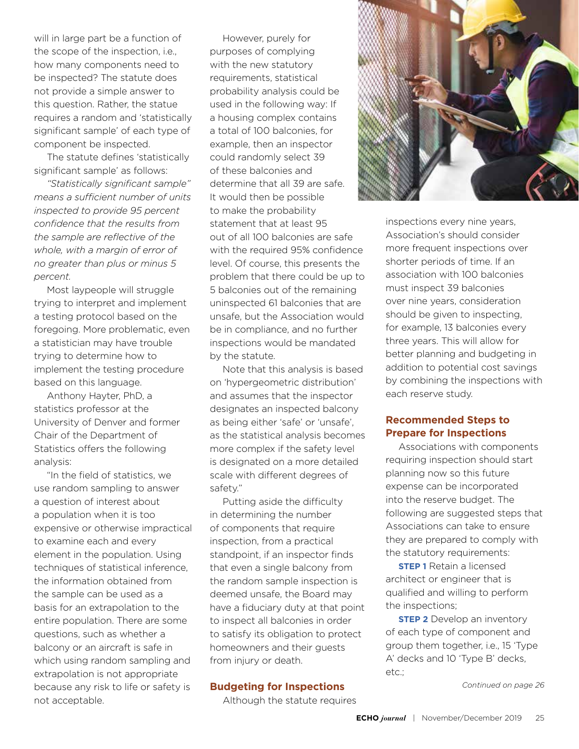will in large part be a function of the scope of the inspection, i.e., how many components need to be inspected? The statute does not provide a simple answer to this question. Rather, the statue requires a random and 'statistically significant sample' of each type of component be inspected.

The statute defines 'statistically significant sample' as follows:

*"Statistically significant sample" means a sufficient number of units inspected to provide 95 percent confidence that the results from the sample are reflective of the whole, with a margin of error of no greater than plus or minus 5 percent.*

Most laypeople will struggle trying to interpret and implement a testing protocol based on the foregoing. More problematic, even a statistician may have trouble trying to determine how to implement the testing procedure based on this language.

Anthony Hayter, PhD, a statistics professor at the University of Denver and former Chair of the Department of Statistics offers the following analysis:

"In the field of statistics, we use random sampling to answer a question of interest about a population when it is too expensive or otherwise impractical to examine each and every element in the population. Using techniques of statistical inference, the information obtained from the sample can be used as a basis for an extrapolation to the entire population. There are some questions, such as whether a balcony or an aircraft is safe in which using random sampling and extrapolation is not appropriate because any risk to life or safety is not acceptable.

However, purely for purposes of complying with the new statutory requirements, statistical probability analysis could be used in the following way: If a housing complex contains a total of 100 balconies, for example, then an inspector could randomly select 39 of these balconies and determine that all 39 are safe. It would then be possible to make the probability statement that at least 95 out of all 100 balconies are safe with the required 95% confidence level. Of course, this presents the problem that there could be up to 5 balconies out of the remaining uninspected 61 balconies that are unsafe, but the Association would be in compliance, and no further inspections would be mandated by the statute.

Note that this analysis is based on 'hypergeometric distribution' and assumes that the inspector designates an inspected balcony as being either 'safe' or 'unsafe', as the statistical analysis becomes more complex if the safety level is designated on a more detailed scale with different degrees of safety."

Putting aside the difficulty in determining the number of components that require inspection, from a practical standpoint, if an inspector finds that even a single balcony from the random sample inspection is deemed unsafe, the Board may have a fiduciary duty at that point to inspect all balconies in order to satisfy its obligation to protect homeowners and their guests from injury or death.

## **Budgeting for Inspections**

Although the statute requires



inspections every nine years, Association's should consider more frequent inspections over shorter periods of time. If an association with 100 balconies must inspect 39 balconies over nine years, consideration should be given to inspecting, for example, 13 balconies every three years. This will allow for better planning and budgeting in addition to potential cost savings by combining the inspections with each reserve study.

## **Recommended Steps to Prepare for Inspections**

Associations with components requiring inspection should start planning now so this future expense can be incorporated into the reserve budget. The following are suggested steps that Associations can take to ensure they are prepared to comply with the statutory requirements:

**STEP 1** Retain a licensed architect or engineer that is qualified and willing to perform the inspections;

**STEP 2** Develop an inventory of each type of component and group them together, i.e., 15 'Type A' decks and 10 'Type B' decks, etc.;

*Continued on page 26*